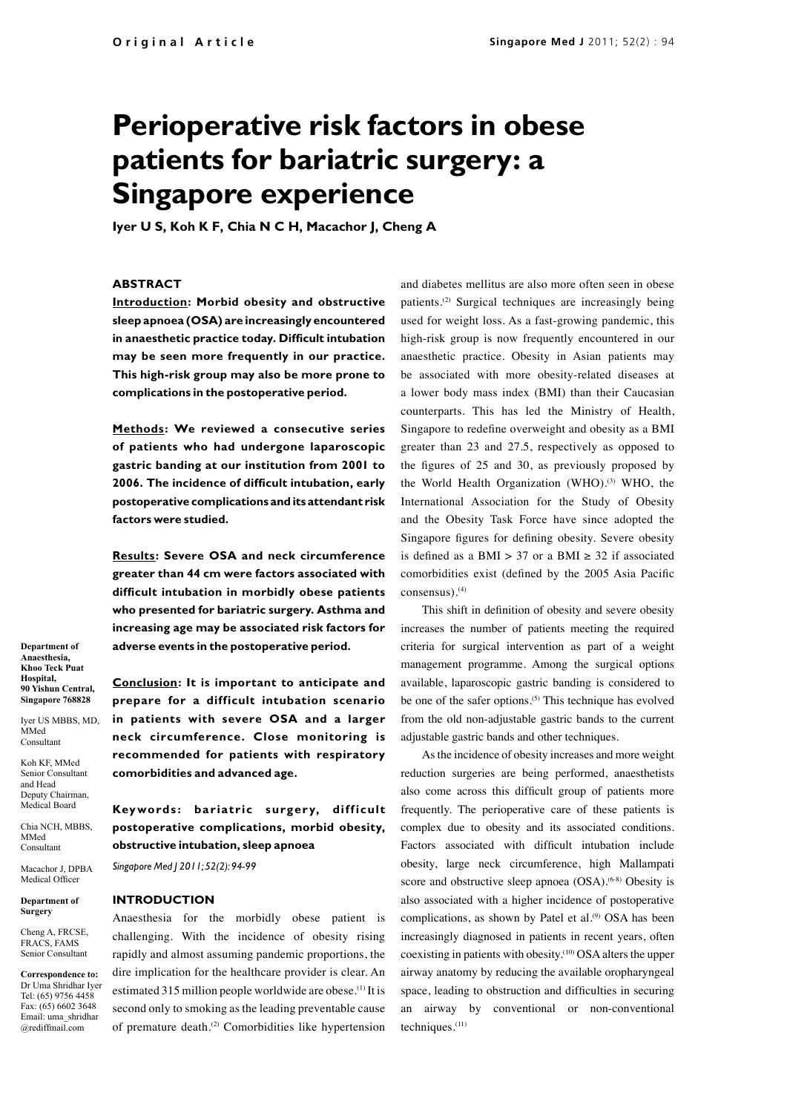# **Perioperative risk factors in obese patients for bariatric surgery: a Singapore experience**

**Iyer U S, Koh K F, Chia N C H, Macachor J, Cheng A**

## **ABSTRACT**

**Introduction: Morbid obesity and obstructive sleep apnoea (OSA) are increasingly encountered in anaesthetic practice today. Difficult intubation may be seen more frequently in our practice. This high-risk group may also be more prone to complications in the postoperative period.** 

**Methods: We reviewed a consecutive series of patients who had undergone laparoscopic gastric banding at our institution from 2001 to 2006. The incidence of difficult intubation, early postoperative complications and its attendant risk factors were studied.** 

**Results: Severe OSA and neck circumference greater than 44 cm were factors associated with difficult intubation in morbidly obese patients who presented for bariatric surgery. Asthma and increasing age may be associated risk factors for adverse events in the postoperative period.**

**Conclusion: It is important to anticipate and prepare for a difficult intubation scenario in patients with severe OSA and a larger neck circumference. Close monitoring is recommended for patients with respiratory comorbidities and advanced age.** 

Keywords: bariatric surgery, difficult **postoperative complications, morbid obesity, obstructive intubation, sleep apnoea**

*Singapore Med J 2011; 52(2): 94-99*

#### **INTRODUCTION**

Anaesthesia for the morbidly obese patient is challenging. With the incidence of obesity rising rapidly and almost assuming pandemic proportions, the dire implication for the healthcare provider is clear. An estimated 315 million people worldwide are obese.<sup>(1)</sup> It is second only to smoking as the leading preventable cause of premature death.<sup>(2)</sup> Comorbidities like hypertension

and diabetes mellitus are also more often seen in obese patients.(2) Surgical techniques are increasingly being used for weight loss. As a fast-growing pandemic, this high-risk group is now frequently encountered in our anaesthetic practice. Obesity in Asian patients may be associated with more obesity-related diseases at a lower body mass index (BMI) than their Caucasian counterparts. This has led the Ministry of Health, Singapore to redefine overweight and obesity as a BMI greater than 23 and 27.5, respectively as opposed to the figures of 25 and 30, as previously proposed by the World Health Organization (WHO).<sup>(3)</sup> WHO, the International Association for the Study of Obesity and the Obesity Task Force have since adopted the Singapore figures for defining obesity. Severe obesity is defined as a BMI > 37 or a BMI  $\ge$  32 if associated comorbidities exist (defined by the 2005 Asia Pacific consensus).(4)

This shift in definition of obesity and severe obesity increases the number of patients meeting the required criteria for surgical intervention as part of a weight management programme. Among the surgical options available, laparoscopic gastric banding is considered to be one of the safer options.<sup>(5)</sup> This technique has evolved from the old non-adjustable gastric bands to the current adjustable gastric bands and other techniques.

As the incidence of obesity increases and more weight reduction surgeries are being performed, anaesthetists also come across this difficult group of patients more frequently. The perioperative care of these patients is complex due to obesity and its associated conditions. Factors associated with difficult intubation include obesity, large neck circumference, high Mallampati score and obstructive sleep apnoea (OSA).<sup>(6-8)</sup> Obesity is also associated with a higher incidence of postoperative complications, as shown by Patel et al.<sup>(9)</sup> OSA has been increasingly diagnosed in patients in recent years, often coexisting in patients with obesity.(10) OSA alters the upper airway anatomy by reducing the available oropharyngeal space, leading to obstruction and difficulties in securing an airway by conventional or non-conventional techniques.(11)

**Department of Anaesthesia, Khoo Teck Puat Hospital, 90 Yishun Central, Singapore 768828**

Iyer US MBBS, MD, MMed Consultant

Koh KF, MMed Senior Consultant and Head Deputy Chairman,

Medical Board

Chia NCH, MBBS, MMed Consultant

Macachor J, DPBA Medical Officer

**Department of Surgery**

Cheng A, FRCSE, FRACS, FAMS Senior Consultant

**Correspondence to:**  Dr Uma Shridhar Iyer Tel: (65) 9756 4458 Fax: (65) 6602 3648 Email: uma\_shridhar @rediffmail.com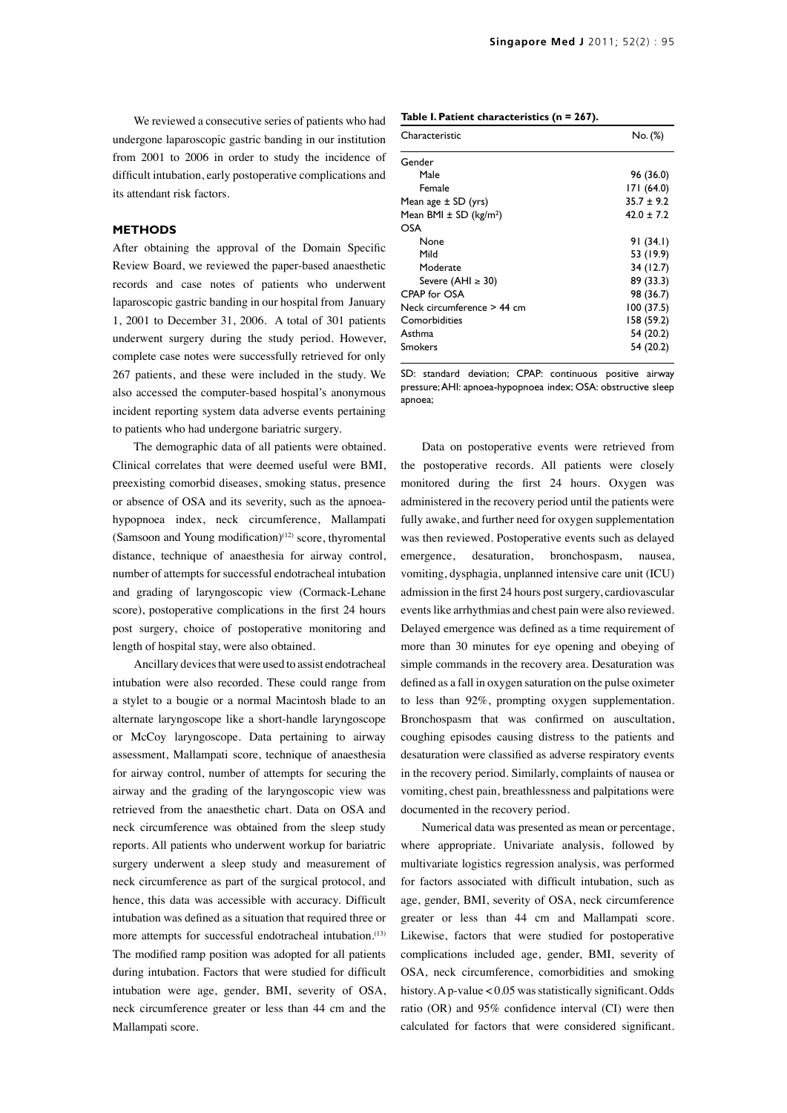We reviewed a consecutive series of patients who had undergone laparoscopic gastric banding in our institution from 2001 to 2006 in order to study the incidence of difficult intubation, early postoperative complications and its attendant risk factors.

### **METHODS**

After obtaining the approval of the Domain Specific Review Board, we reviewed the paper-based anaesthetic records and case notes of patients who underwent laparoscopic gastric banding in our hospital from January 1, 2001 to December 31, 2006. A total of 301 patients underwent surgery during the study period. However, complete case notes were successfully retrieved for only 267 patients, and these were included in the study. We also accessed the computer-based hospital's anonymous incident reporting system data adverse events pertaining to patients who had undergone bariatric surgery.

The demographic data of all patients were obtained. Clinical correlates that were deemed useful were BMI, preexisting comorbid diseases, smoking status, presence or absence of OSA and its severity, such as the apnoeahypopnoea index, neck circumference, Mallampati (Samsoon and Young modification) $(12)$  score, thyromental distance, technique of anaesthesia for airway control, number of attempts for successful endotracheal intubation and grading of laryngoscopic view (Cormack-Lehane score), postoperative complications in the first 24 hours post surgery, choice of postoperative monitoring and length of hospital stay, were also obtained.

Ancillary devices that were used to assist endotracheal intubation were also recorded. These could range from a stylet to a bougie or a normal Macintosh blade to an alternate laryngoscope like a short-handle laryngoscope or McCoy laryngoscope. Data pertaining to airway assessment, Mallampati score, technique of anaesthesia for airway control, number of attempts for securing the airway and the grading of the laryngoscopic view was retrieved from the anaesthetic chart. Data on OSA and neck circumference was obtained from the sleep study reports. All patients who underwent workup for bariatric surgery underwent a sleep study and measurement of neck circumference as part of the surgical protocol, and hence, this data was accessible with accuracy. Difficult intubation was defined as a situation that required three or more attempts for successful endotracheal intubation.<sup>(13)</sup> The modified ramp position was adopted for all patients during intubation. Factors that were studied for difficult intubation were age, gender, BMI, severity of OSA, neck circumference greater or less than 44 cm and the Mallampati score.

|  |  | Table I. Patient characteristics (n = 267). |  |
|--|--|---------------------------------------------|--|
|--|--|---------------------------------------------|--|

| Characteristic                         | No. (%)        |
|----------------------------------------|----------------|
| Gender                                 |                |
| Male                                   | 96 (36.0)      |
| Female                                 | 171 (64.0)     |
| Mean age $\pm$ SD (yrs)                | $35.7 \pm 9.2$ |
| Mean BMI $\pm$ SD (kg/m <sup>2</sup> ) | $42.0 \pm 7.2$ |
| OSA                                    |                |
| None                                   | 91 (34.1)      |
| Mild                                   | 53 (19.9)      |
| Moderate                               | 34 (12.7)      |
| Severe (AHI $\geq$ 30)                 | 89 (33.3)      |
| CPAP for OSA                           | 98 (36.7)      |
| Neck circumference > 44 cm             | 100(37.5)      |
| Comorbidities                          | 158 (59.2)     |
| Asthma                                 | 54 (20.2)      |
| Smokers                                | 54 (20.2)      |

SD: standard deviation; CPAP: continuous positive airway pressure; AHI: apnoea-hypopnoea index; OSA: obstructive sleep apnoea;

Data on postoperative events were retrieved from the postoperative records. All patients were closely monitored during the first 24 hours. Oxygen was administered in the recovery period until the patients were fully awake, and further need for oxygen supplementation was then reviewed. Postoperative events such as delayed emergence, desaturation, bronchospasm, nausea, vomiting, dysphagia, unplanned intensive care unit (ICU) admission in the first 24 hours post surgery, cardiovascular events like arrhythmias and chest pain were also reviewed. Delayed emergence was defined as a time requirement of more than 30 minutes for eye opening and obeying of simple commands in the recovery area. Desaturation was defined as a fall in oxygen saturation on the pulse oximeter to less than 92%, prompting oxygen supplementation. Bronchospasm that was confirmed on auscultation, coughing episodes causing distress to the patients and desaturation were classified as adverse respiratory events in the recovery period. Similarly, complaints of nausea or vomiting, chest pain, breathlessness and palpitations were documented in the recovery period.

Numerical data was presented as mean or percentage, where appropriate. Univariate analysis, followed by multivariate logistics regression analysis, was performed for factors associated with difficult intubation, such as age, gender, BMI, severity of OSA, neck circumference greater or less than 44 cm and Mallampati score. Likewise, factors that were studied for postoperative complications included age, gender, BMI, severity of OSA, neck circumference, comorbidities and smoking history. A p-value < 0.05 was statistically significant. Odds ratio (OR) and 95% confidence interval (CI) were then calculated for factors that were considered significant.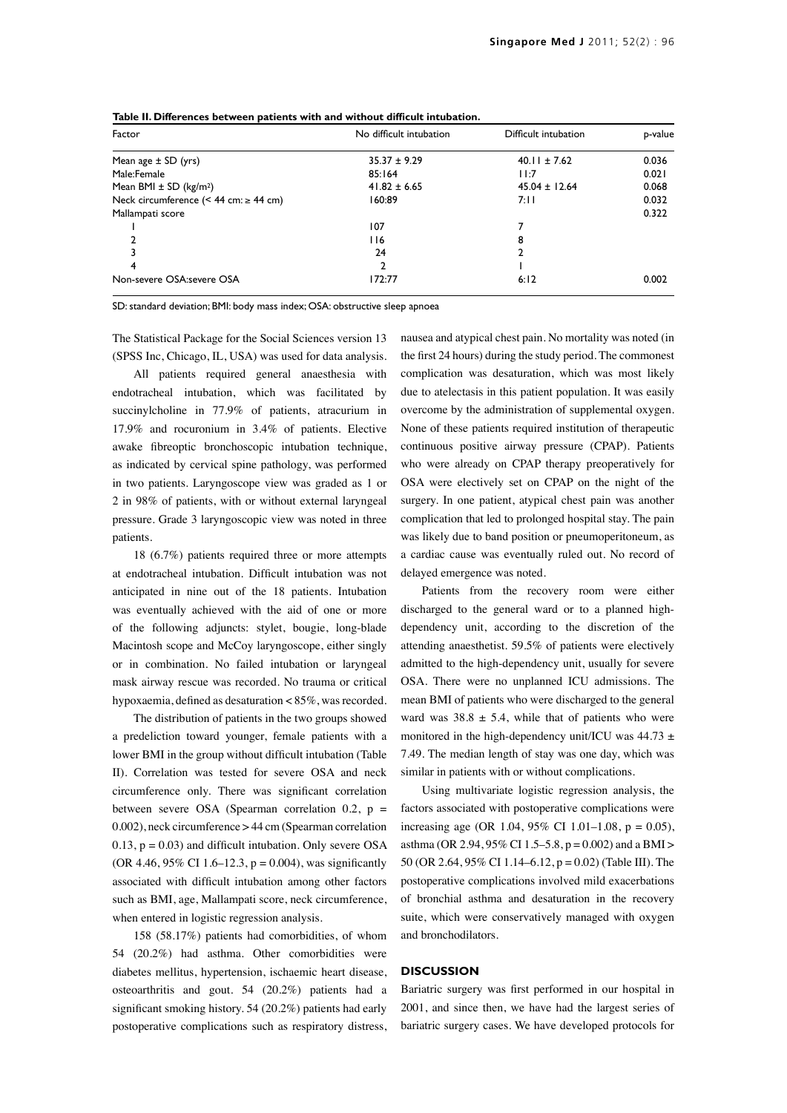| Factor                                    | No difficult intubation | Difficult intubation | p-value |
|-------------------------------------------|-------------------------|----------------------|---------|
| Mean age $\pm$ SD (yrs)                   | $35.37 \pm 9.29$        | $40.11 \pm 7.62$     | 0.036   |
| Male:Female                               | 85:164                  | 11:7                 | 0.021   |
| Mean BMI $\pm$ SD (kg/m <sup>2</sup> )    | $41.82 \pm 6.65$        | $45.04 \pm 12.64$    | 0.068   |
| Neck circumference (< 44 cm: $\ge$ 44 cm) | 160:89                  | 7:11                 | 0.032   |
| Mallampati score                          |                         |                      | 0.322   |
|                                           | 107                     |                      |         |
|                                           | 116                     | 8                    |         |
|                                           | 24                      | 2                    |         |
| 4                                         | 2                       |                      |         |
| Non-severe OSA:severe OSA                 | 172:77                  | 6:12                 | 0.002   |

**Table II. Differences between patients with and without difficult intubation.** 

SD: standard deviation; BMI: body mass index; OSA: obstructive sleep apnoea

The Statistical Package for the Social Sciences version 13 (SPSS Inc, Chicago, IL, USA) was used for data analysis.

All patients required general anaesthesia with endotracheal intubation, which was facilitated by succinylcholine in 77.9% of patients, atracurium in 17.9% and rocuronium in 3.4% of patients. Elective awake fibreoptic bronchoscopic intubation technique, as indicated by cervical spine pathology, was performed in two patients. Laryngoscope view was graded as 1 or 2 in 98% of patients, with or without external laryngeal pressure. Grade 3 laryngoscopic view was noted in three patients.

18 (6.7%) patients required three or more attempts at endotracheal intubation. Difficult intubation was not anticipated in nine out of the 18 patients. Intubation was eventually achieved with the aid of one or more of the following adjuncts: stylet, bougie, long-blade Macintosh scope and McCoy laryngoscope, either singly or in combination. No failed intubation or laryngeal mask airway rescue was recorded. No trauma or critical hypoxaemia, defined as desaturation < 85%, was recorded.

The distribution of patients in the two groups showed a predeliction toward younger, female patients with a lower BMI in the group without difficult intubation (Table II). Correlation was tested for severe OSA and neck circumference only. There was significant correlation between severe OSA (Spearman correlation 0.2,  $p =$ 0.002), neck circumference > 44 cm (Spearman correlation  $0.13$ ,  $p = 0.03$ ) and difficult intubation. Only severe OSA (OR 4.46, 95% CI 1.6–12.3,  $p = 0.004$ ), was significantly associated with difficult intubation among other factors such as BMI, age, Mallampati score, neck circumference, when entered in logistic regression analysis.

158 (58.17%) patients had comorbidities, of whom 54 (20.2%) had asthma. Other comorbidities were diabetes mellitus, hypertension, ischaemic heart disease, osteoarthritis and gout. 54 (20.2%) patients had a significant smoking history. 54 (20.2%) patients had early postoperative complications such as respiratory distress, nausea and atypical chest pain. No mortality was noted (in the first 24 hours) during the study period. The commonest complication was desaturation, which was most likely due to atelectasis in this patient population. It was easily overcome by the administration of supplemental oxygen. None of these patients required institution of therapeutic continuous positive airway pressure (CPAP). Patients who were already on CPAP therapy preoperatively for OSA were electively set on CPAP on the night of the surgery. In one patient, atypical chest pain was another complication that led to prolonged hospital stay. The pain was likely due to band position or pneumoperitoneum, as a cardiac cause was eventually ruled out. No record of delayed emergence was noted.

Patients from the recovery room were either discharged to the general ward or to a planned highdependency unit, according to the discretion of the attending anaesthetist. 59.5% of patients were electively admitted to the high-dependency unit, usually for severe OSA. There were no unplanned ICU admissions. The mean BMI of patients who were discharged to the general ward was  $38.8 \pm 5.4$ , while that of patients who were monitored in the high-dependency unit/ICU was  $44.73 \pm$ 7.49. The median length of stay was one day, which was similar in patients with or without complications.

Using multivariate logistic regression analysis, the factors associated with postoperative complications were increasing age (OR 1.04, 95% CI 1.01–1.08,  $p = 0.05$ ), asthma (OR 2.94, 95% CI 1.5–5.8, p = 0.002) and a BMI > 50 (OR 2.64, 95% CI 1.14–6.12, p = 0.02) (Table III). The postoperative complications involved mild exacerbations of bronchial asthma and desaturation in the recovery suite, which were conservatively managed with oxygen and bronchodilators.

#### **DISCUSSION**

Bariatric surgery was first performed in our hospital in 2001, and since then, we have had the largest series of bariatric surgery cases. We have developed protocols for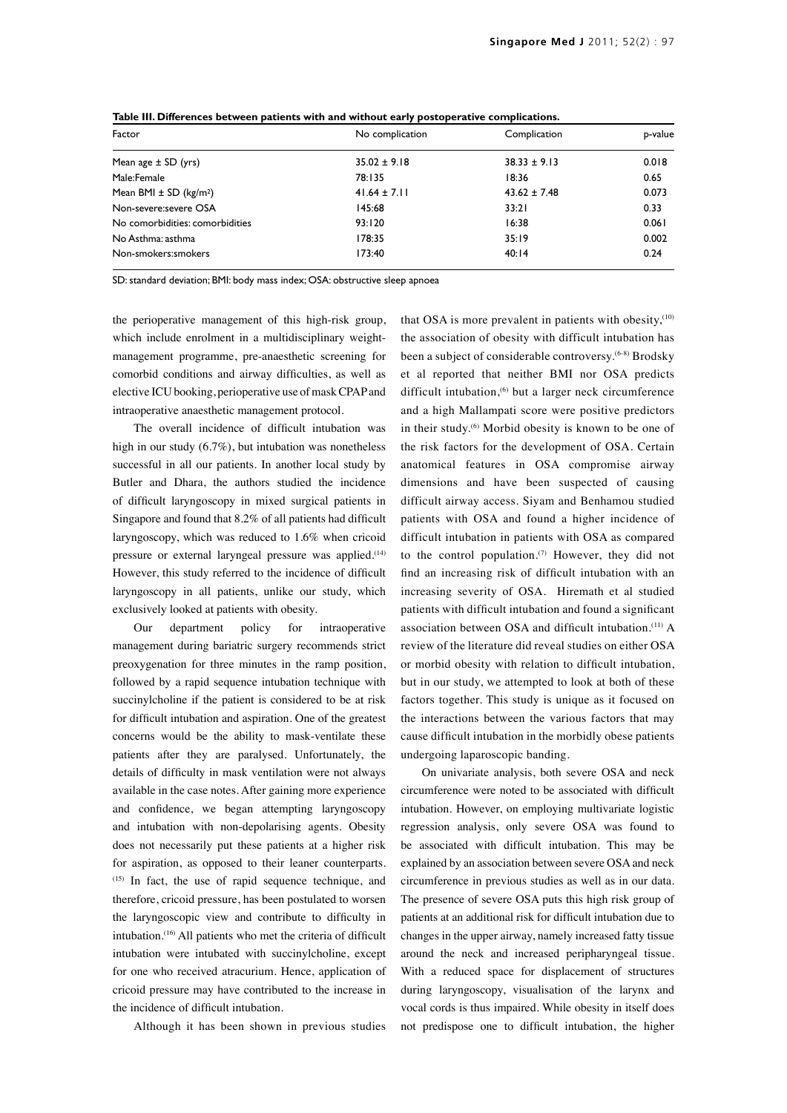| Factor<br>No complication<br>Complication<br>$35.02 \pm 9.18$<br>0.018<br>$38.33 \pm 9.13$<br>Mean age $\pm$ SD (yrs)<br>0.65<br>Male:Female<br>78:135<br>18:36<br>Mean BMI $\pm$ SD (kg/m <sup>2</sup> )<br>$41.64 \pm 7.11$<br>$43.62 \pm 7.48$<br>0.073<br>Non-severe:severe OSA<br>0.33<br>145:68<br>33:21<br>No comorbidities: comorbidities<br>93:120<br>16:38<br>0.061<br>0.002<br>178:35<br>35:19<br>No Asthma: asthma<br>0.24<br>173:40<br>Non-smokers: smokers<br>40:14 | . . |         |
|-----------------------------------------------------------------------------------------------------------------------------------------------------------------------------------------------------------------------------------------------------------------------------------------------------------------------------------------------------------------------------------------------------------------------------------------------------------------------------------|-----|---------|
|                                                                                                                                                                                                                                                                                                                                                                                                                                                                                   |     | p-value |
|                                                                                                                                                                                                                                                                                                                                                                                                                                                                                   |     |         |
|                                                                                                                                                                                                                                                                                                                                                                                                                                                                                   |     |         |
|                                                                                                                                                                                                                                                                                                                                                                                                                                                                                   |     |         |
|                                                                                                                                                                                                                                                                                                                                                                                                                                                                                   |     |         |
|                                                                                                                                                                                                                                                                                                                                                                                                                                                                                   |     |         |
|                                                                                                                                                                                                                                                                                                                                                                                                                                                                                   |     |         |
|                                                                                                                                                                                                                                                                                                                                                                                                                                                                                   |     |         |

**Table III. Differences between patients with and without early postoperative complications.**

SD: standard deviation; BMI: body mass index; OSA: obstructive sleep apnoea

the perioperative management of this high-risk group, which include enrolment in a multidisciplinary weightmanagement programme, pre-anaesthetic screening for comorbid conditions and airway difficulties, as well as elective ICU booking, perioperative use of mask CPAP and intraoperative anaesthetic management protocol.

The overall incidence of difficult intubation was high in our study (6.7%), but intubation was nonetheless successful in all our patients. In another local study by Butler and Dhara, the authors studied the incidence of difficult laryngoscopy in mixed surgical patients in Singapore and found that 8.2% of all patients had difficult laryngoscopy, which was reduced to 1.6% when cricoid pressure or external laryngeal pressure was applied.<sup>(14)</sup> However, this study referred to the incidence of difficult laryngoscopy in all patients, unlike our study, which exclusively looked at patients with obesity.

Our department policy for intraoperative management during bariatric surgery recommends strict preoxygenation for three minutes in the ramp position, followed by a rapid sequence intubation technique with succinylcholine if the patient is considered to be at risk for difficult intubation and aspiration. One of the greatest concerns would be the ability to mask-ventilate these patients after they are paralysed. Unfortunately, the details of difficulty in mask ventilation were not always available in the case notes. After gaining more experience and confidence, we began attempting laryngoscopy and intubation with non-depolarising agents. Obesity does not necessarily put these patients at a higher risk for aspiration, as opposed to their leaner counterparts. (15) In fact, the use of rapid sequence technique, and therefore, cricoid pressure, has been postulated to worsen the laryngoscopic view and contribute to difficulty in intubation.<sup>(16)</sup> All patients who met the criteria of difficult intubation were intubated with succinylcholine, except for one who received atracurium. Hence, application of cricoid pressure may have contributed to the increase in the incidence of difficult intubation.

Although it has been shown in previous studies

that OSA is more prevalent in patients with obesity,<sup>(10)</sup> the association of obesity with difficult intubation has been a subject of considerable controversy.(6-8) Brodsky et al reported that neither BMI nor OSA predicts difficult intubation,<sup>(6)</sup> but a larger neck circumference and a high Mallampati score were positive predictors in their study.<sup>(6)</sup> Morbid obesity is known to be one of the risk factors for the development of OSA. Certain anatomical features in OSA compromise airway dimensions and have been suspected of causing difficult airway access. Siyam and Benhamou studied patients with OSA and found a higher incidence of difficult intubation in patients with OSA as compared to the control population.<sup>(7)</sup> However, they did not find an increasing risk of difficult intubation with an increasing severity of OSA. Hiremath et al studied patients with difficult intubation and found a significant association between OSA and difficult intubation.(11) A review of the literature did reveal studies on either OSA or morbid obesity with relation to difficult intubation, but in our study, we attempted to look at both of these factors together. This study is unique as it focused on the interactions between the various factors that may cause difficult intubation in the morbidly obese patients undergoing laparoscopic banding.

On univariate analysis, both severe OSA and neck circumference were noted to be associated with difficult intubation. However, on employing multivariate logistic regression analysis, only severe OSA was found to be associated with difficult intubation. This may be explained by an association between severe OSA and neck circumference in previous studies as well as in our data. The presence of severe OSA puts this high risk group of patients at an additional risk for difficult intubation due to changes in the upper airway, namely increased fatty tissue around the neck and increased peripharyngeal tissue. With a reduced space for displacement of structures during laryngoscopy, visualisation of the larynx and vocal cords is thus impaired. While obesity in itself does not predispose one to difficult intubation, the higher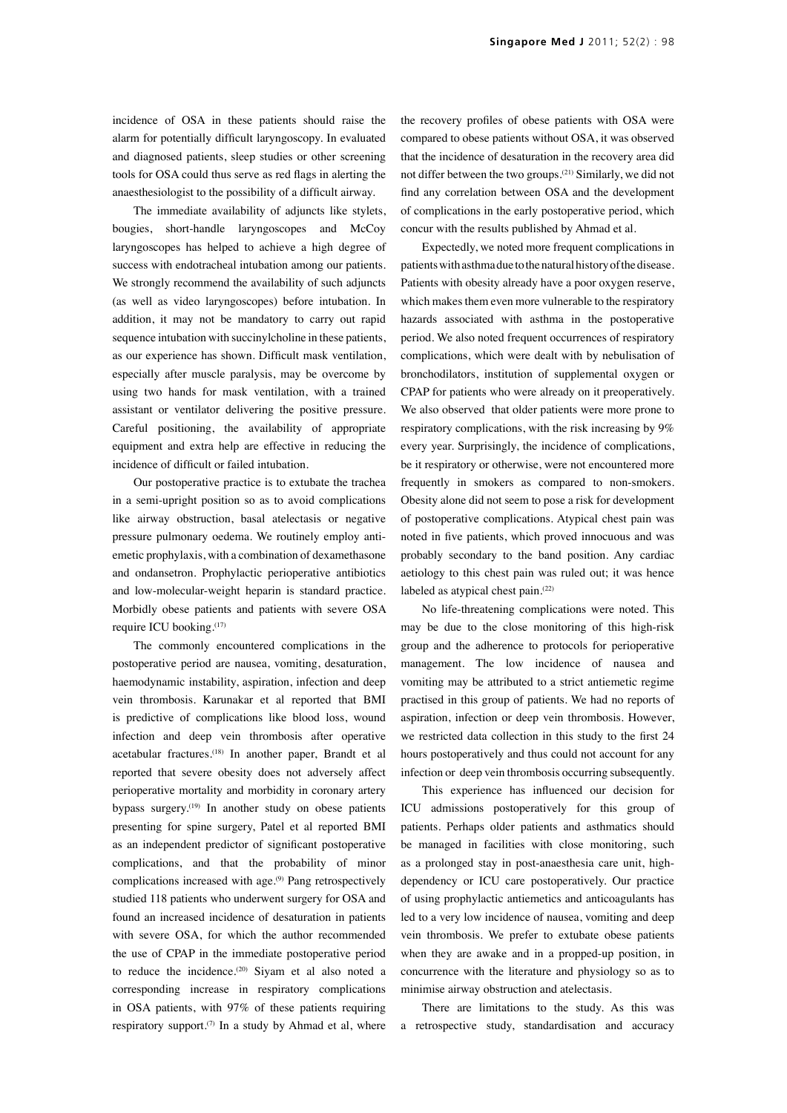incidence of OSA in these patients should raise the alarm for potentially difficult laryngoscopy. In evaluated and diagnosed patients, sleep studies or other screening tools for OSA could thus serve as red flags in alerting the anaesthesiologist to the possibility of a difficult airway.

The immediate availability of adjuncts like stylets, bougies, short-handle laryngoscopes and McCoy laryngoscopes has helped to achieve a high degree of success with endotracheal intubation among our patients. We strongly recommend the availability of such adjuncts (as well as video laryngoscopes) before intubation. In addition, it may not be mandatory to carry out rapid sequence intubation with succinylcholine in these patients, as our experience has shown. Difficult mask ventilation, especially after muscle paralysis, may be overcome by using two hands for mask ventilation, with a trained assistant or ventilator delivering the positive pressure. Careful positioning, the availability of appropriate equipment and extra help are effective in reducing the incidence of difficult or failed intubation.

Our postoperative practice is to extubate the trachea in a semi-upright position so as to avoid complications like airway obstruction, basal atelectasis or negative pressure pulmonary oedema. We routinely employ antiemetic prophylaxis, with a combination of dexamethasone and ondansetron. Prophylactic perioperative antibiotics and low-molecular-weight heparin is standard practice. Morbidly obese patients and patients with severe OSA require ICU booking.(17)

The commonly encountered complications in the postoperative period are nausea, vomiting, desaturation, haemodynamic instability, aspiration, infection and deep vein thrombosis. Karunakar et al reported that BMI is predictive of complications like blood loss, wound infection and deep vein thrombosis after operative acetabular fractures.(18) In another paper, Brandt et al reported that severe obesity does not adversely affect perioperative mortality and morbidity in coronary artery bypass surgery.(19) In another study on obese patients presenting for spine surgery, Patel et al reported BMI as an independent predictor of significant postoperative complications, and that the probability of minor complications increased with age.<sup>(9)</sup> Pang retrospectively studied 118 patients who underwent surgery for OSA and found an increased incidence of desaturation in patients with severe OSA, for which the author recommended the use of CPAP in the immediate postoperative period to reduce the incidence. $(20)$  Siyam et al also noted a corresponding increase in respiratory complications in OSA patients, with 97% of these patients requiring respiratory support.<sup>(7)</sup> In a study by Ahmad et al, where the recovery profiles of obese patients with OSA were compared to obese patients without OSA, it was observed that the incidence of desaturation in the recovery area did not differ between the two groups.(21) Similarly, we did not find any correlation between OSA and the development of complications in the early postoperative period, which concur with the results published by Ahmad et al.

Expectedly, we noted more frequent complications in patients with asthma due to the natural history of the disease. Patients with obesity already have a poor oxygen reserve, which makes them even more vulnerable to the respiratory hazards associated with asthma in the postoperative period. We also noted frequent occurrences of respiratory complications, which were dealt with by nebulisation of bronchodilators, institution of supplemental oxygen or CPAP for patients who were already on it preoperatively. We also observed that older patients were more prone to respiratory complications, with the risk increasing by 9% every year. Surprisingly, the incidence of complications, be it respiratory or otherwise, were not encountered more frequently in smokers as compared to non-smokers. Obesity alone did not seem to pose a risk for development of postoperative complications. Atypical chest pain was noted in five patients, which proved innocuous and was probably secondary to the band position. Any cardiac aetiology to this chest pain was ruled out; it was hence labeled as atypical chest pain.<sup>(22)</sup>

No life-threatening complications were noted. This may be due to the close monitoring of this high-risk group and the adherence to protocols for perioperative management. The low incidence of nausea and vomiting may be attributed to a strict antiemetic regime practised in this group of patients. We had no reports of aspiration, infection or deep vein thrombosis. However, we restricted data collection in this study to the first 24 hours postoperatively and thus could not account for any infection or deep vein thrombosis occurring subsequently.

This experience has influenced our decision for ICU admissions postoperatively for this group of patients. Perhaps older patients and asthmatics should be managed in facilities with close monitoring, such as a prolonged stay in post-anaesthesia care unit, highdependency or ICU care postoperatively. Our practice of using prophylactic antiemetics and anticoagulants has led to a very low incidence of nausea, vomiting and deep vein thrombosis. We prefer to extubate obese patients when they are awake and in a propped-up position, in concurrence with the literature and physiology so as to minimise airway obstruction and atelectasis.

There are limitations to the study. As this was a retrospective study, standardisation and accuracy